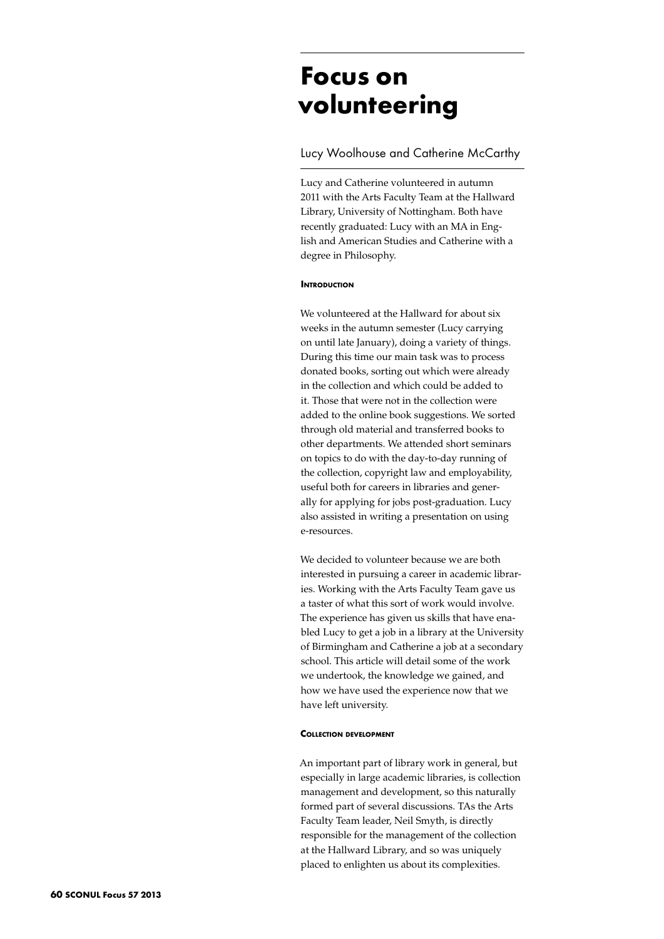# **Focus on volunteering**

# Lucy Woolhouse and Catherine McCarthy

Lucy and Catherine volunteered in autumn 2011 with the Arts Faculty Team at the Hallward Library, University of Nottingham. Both have recently graduated: Lucy with an MA in English and American Studies and Catherine with a degree in Philosophy.

### **INTRODUCTION**

We volunteered at the Hallward for about six weeks in the autumn semester (Lucy carrying on until late January), doing a variety of things. During this time our main task was to process donated books, sorting out which were already in the collection and which could be added to it. Those that were not in the collection were added to the online book suggestions. We sorted through old material and transferred books to other departments. We attended short seminars on topics to do with the day-to-day running of the collection, copyright law and employability, useful both for careers in libraries and generally for applying for jobs post-graduation. Lucy also assisted in writing a presentation on using e-resources.

We decided to volunteer because we are both interested in pursuing a career in academic libraries. Working with the Arts Faculty Team gave us a taster of what this sort of work would involve. The experience has given us skills that have enabled Lucy to get a job in a library at the University of Birmingham and Catherine a job at a secondary school. This article will detail some of the work we undertook, the knowledge we gained, and how we have used the experience now that we have left university.

#### **Collection development**

An important part of library work in general, but especially in large academic libraries, is collection management and development, so this naturally formed part of several discussions. TAs the Arts Faculty Team leader, Neil Smyth, is directly responsible for the management of the collection at the Hallward Library, and so was uniquely placed to enlighten us about its complexities.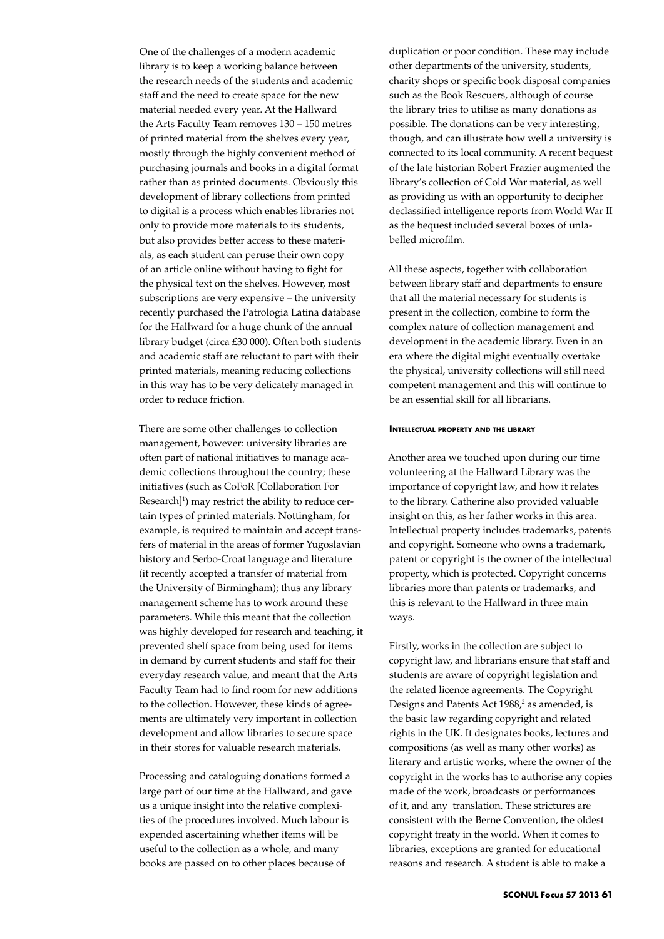One of the challenges of a modern academic library is to keep a working balance between the research needs of the students and academic staff and the need to create space for the new material needed every year. At the Hallward the Arts Faculty Team removes 130 – 150 metres of printed material from the shelves every year, mostly through the highly convenient method of purchasing journals and books in a digital format rather than as printed documents. Obviously this development of library collections from printed to digital is a process which enables libraries not only to provide more materials to its students, but also provides better access to these materials, as each student can peruse their own copy of an article online without having to fight for the physical text on the shelves. However, most subscriptions are very expensive – the university recently purchased the Patrologia Latina database for the Hallward for a huge chunk of the annual library budget (circa £30 000). Often both students and academic staff are reluctant to part with their printed materials, meaning reducing collections in this way has to be very delicately managed in order to reduce friction.

There are some other challenges to collection management, however: university libraries are often part of national initiatives to manage academic collections throughout the country; these initiatives (such as CoFoR [Collaboration For Research]<sup>1</sup>) may restrict the ability to reduce certain types of printed materials. Nottingham, for example, is required to maintain and accept transfers of material in the areas of former Yugoslavian history and Serbo-Croat language and literature (it recently accepted a transfer of material from the University of Birmingham); thus any library management scheme has to work around these parameters. While this meant that the collection was highly developed for research and teaching, it prevented shelf space from being used for items in demand by current students and staff for their everyday research value, and meant that the Arts Faculty Team had to find room for new additions to the collection. However, these kinds of agreements are ultimately very important in collection development and allow libraries to secure space in their stores for valuable research materials.

Processing and cataloguing donations formed a large part of our time at the Hallward, and gave us a unique insight into the relative complexities of the procedures involved. Much labour is expended ascertaining whether items will be useful to the collection as a whole, and many books are passed on to other places because of

duplication or poor condition. These may include other departments of the university, students, charity shops or specific book disposal companies such as the Book Rescuers, although of course the library tries to utilise as many donations as possible. The donations can be very interesting, though, and can illustrate how well a university is connected to its local community. A recent bequest of the late historian Robert Frazier augmented the library's collection of Cold War material, as well as providing us with an opportunity to decipher declassified intelligence reports from World War II as the bequest included several boxes of unlabelled microfilm.

All these aspects, together with collaboration between library staff and departments to ensure that all the material necessary for students is present in the collection, combine to form the complex nature of collection management and development in the academic library. Even in an era where the digital might eventually overtake the physical, university collections will still need competent management and this will continue to be an essential skill for all librarians.

#### **Intellectual property and the library**

Another area we touched upon during our time volunteering at the Hallward Library was the importance of copyright law, and how it relates to the library. Catherine also provided valuable insight on this, as her father works in this area. Intellectual property includes trademarks, patents and copyright. Someone who owns a trademark, patent or copyright is the owner of the intellectual property, which is protected. Copyright concerns libraries more than patents or trademarks, and this is relevant to the Hallward in three main ways.

Firstly, works in the collection are subject to copyright law, and librarians ensure that staff and students are aware of copyright legislation and the related licence agreements. The Copyright Designs and Patents Act 1988,<sup>2</sup> as amended, is the basic law regarding copyright and related rights in the UK. It designates books, lectures and compositions (as well as many other works) as literary and artistic works, where the owner of the copyright in the works has to authorise any copies made of the work, broadcasts or performances of it, and any translation. These strictures are consistent with the Berne Convention, the oldest copyright treaty in the world. When it comes to libraries, exceptions are granted for educational reasons and research. A student is able to make a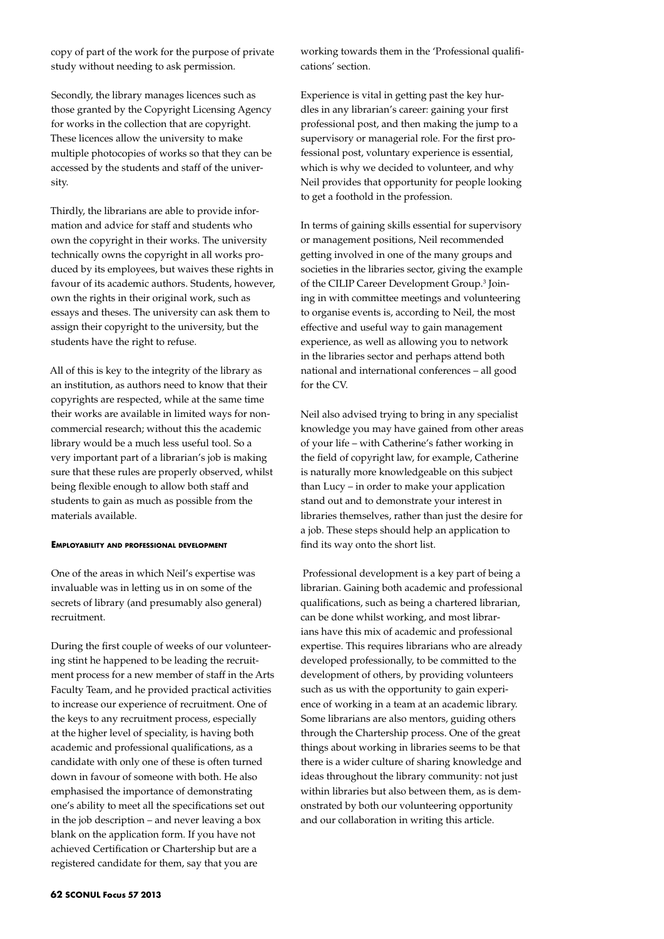copy of part of the work for the purpose of private study without needing to ask permission.

Secondly, the library manages licences such as those granted by the Copyright Licensing Agency for works in the collection that are copyright. These licences allow the university to make multiple photocopies of works so that they can be accessed by the students and staff of the university.

Thirdly, the librarians are able to provide information and advice for staff and students who own the copyright in their works. The university technically owns the copyright in all works produced by its employees, but waives these rights in favour of its academic authors. Students, however, own the rights in their original work, such as essays and theses. The university can ask them to assign their copyright to the university, but the students have the right to refuse.

All of this is key to the integrity of the library as an institution, as authors need to know that their copyrights are respected, while at the same time their works are available in limited ways for noncommercial research; without this the academic library would be a much less useful tool. So a very important part of a librarian's job is making sure that these rules are properly observed, whilst being flexible enough to allow both staff and students to gain as much as possible from the materials available.

# **Employability and professional development**

One of the areas in which Neil's expertise was invaluable was in letting us in on some of the secrets of library (and presumably also general) recruitment.

During the first couple of weeks of our volunteering stint he happened to be leading the recruitment process for a new member of staff in the Arts Faculty Team, and he provided practical activities to increase our experience of recruitment. One of the keys to any recruitment process, especially at the higher level of speciality, is having both academic and professional qualifications, as a candidate with only one of these is often turned down in favour of someone with both. He also emphasised the importance of demonstrating one's ability to meet all the specifications set out in the job description – and never leaving a box blank on the application form. If you have not achieved Certification or Chartership but are a registered candidate for them, say that you are

working towards them in the 'Professional qualifications' section.

Experience is vital in getting past the key hurdles in any librarian's career: gaining your first professional post, and then making the jump to a supervisory or managerial role. For the first professional post, voluntary experience is essential, which is why we decided to volunteer, and why Neil provides that opportunity for people looking to get a foothold in the profession.

In terms of gaining skills essential for supervisory or management positions, Neil recommended getting involved in one of the many groups and societies in the libraries sector, giving the example of the CILIP Career Development Group.<sup>3</sup> Joining in with committee meetings and volunteering to organise events is, according to Neil, the most effective and useful way to gain management experience, as well as allowing you to network in the libraries sector and perhaps attend both national and international conferences – all good for the CV.

Neil also advised trying to bring in any specialist knowledge you may have gained from other areas of your life – with Catherine's father working in the field of copyright law, for example, Catherine is naturally more knowledgeable on this subject than Lucy – in order to make your application stand out and to demonstrate your interest in libraries themselves, rather than just the desire for a job. These steps should help an application to find its way onto the short list.

 Professional development is a key part of being a librarian. Gaining both academic and professional qualifications, such as being a chartered librarian, can be done whilst working, and most librarians have this mix of academic and professional expertise. This requires librarians who are already developed professionally, to be committed to the development of others, by providing volunteers such as us with the opportunity to gain experience of working in a team at an academic library. Some librarians are also mentors, guiding others through the Chartership process. One of the great things about working in libraries seems to be that there is a wider culture of sharing knowledge and ideas throughout the library community: not just within libraries but also between them, as is demonstrated by both our volunteering opportunity and our collaboration in writing this article.